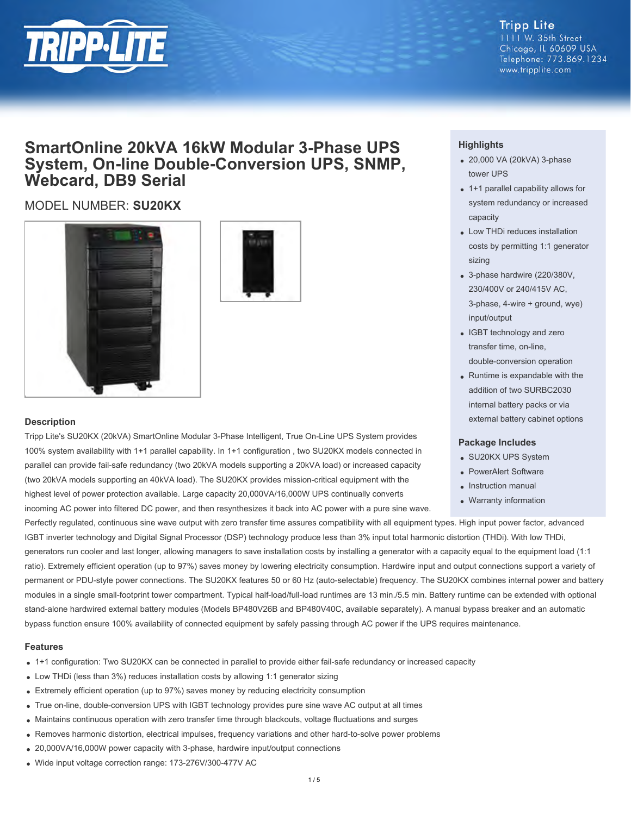

#### **Tripp Lite** 1111 W. 35th Street Chicago, IL 60609 USA Telephone: 773.869.1234 www.tripplite.com

# **SmartOnline 20kVA 16kW Modular 3-Phase UPS System, On-line Double-Conversion UPS, SNMP, Webcard, DB9 Serial**

## MODEL NUMBER: **SU20KX**





#### **Description**

Tripp Lite's SU20KX (20kVA) SmartOnline Modular 3-Phase Intelligent, True On-Line UPS System provides 100% system availability with 1+1 parallel capability. In 1+1 configuration , two SU20KX models connected in parallel can provide fail-safe redundancy (two 20kVA models supporting a 20kVA load) or increased capacity (two 20kVA models supporting an 40kVA load). The SU20KX provides mission-critical equipment with the highest level of power protection available. Large capacity 20,000VA/16,000W UPS continually converts

incoming AC power into filtered DC power, and then resynthesizes it back into AC power with a pure sine wave.

### **Highlights**

- 20,000 VA (20kVA) 3-phase tower UPS
- 1+1 parallel capability allows for system redundancy or increased capacity
- Low THDi reduces installation costs by permitting 1:1 generator sizing
- 3-phase hardwire (220/380V, 230/400V or 240/415V AC, 3-phase, 4-wire + ground, wye) input/output
- IGBT technology and zero transfer time, on-line, double-conversion operation
- Runtime is expandable with the addition of two SURBC2030 internal battery packs or via external battery cabinet options

#### **Package Includes**

- SU20KX UPS System
- PowerAlert Software
- Instruction manual
- Warranty information

Perfectly regulated, continuous sine wave output with zero transfer time assures compatibility with all equipment types. High input power factor, advanced IGBT inverter technology and Digital Signal Processor (DSP) technology produce less than 3% input total harmonic distortion (THDi). With low THDi, generators run cooler and last longer, allowing managers to save installation costs by installing a generator with a capacity equal to the equipment load (1:1 ratio). Extremely efficient operation (up to 97%) saves money by lowering electricity consumption. Hardwire input and output connections support a variety of permanent or PDU-style power connections. The SU20KX features 50 or 60 Hz (auto-selectable) frequency. The SU20KX combines internal power and battery modules in a single small-footprint tower compartment. Typical half-load/full-load runtimes are 13 min./5.5 min. Battery runtime can be extended with optional stand-alone hardwired external battery modules (Models BP480V26B and BP480V40C, available separately). A manual bypass breaker and an automatic

bypass function ensure 100% availability of connected equipment by safely passing through AC power if the UPS requires maintenance.

#### **Features**

- 1+1 configuration: Two SU20KX can be connected in parallel to provide either fail-safe redundancy or increased capacity
- Low THDi (less than 3%) reduces installation costs by allowing 1:1 generator sizing
- Extremely efficient operation (up to 97%) saves money by reducing electricity consumption
- True on-line, double-conversion UPS with IGBT technology provides pure sine wave AC output at all times
- Maintains continuous operation with zero transfer time through blackouts, voltage fluctuations and surges
- Removes harmonic distortion, electrical impulses, frequency variations and other hard-to-solve power problems
- 20,000VA/16,000W power capacity with 3-phase, hardwire input/output connections
- Wide input voltage correction range: 173-276V/300-477V AC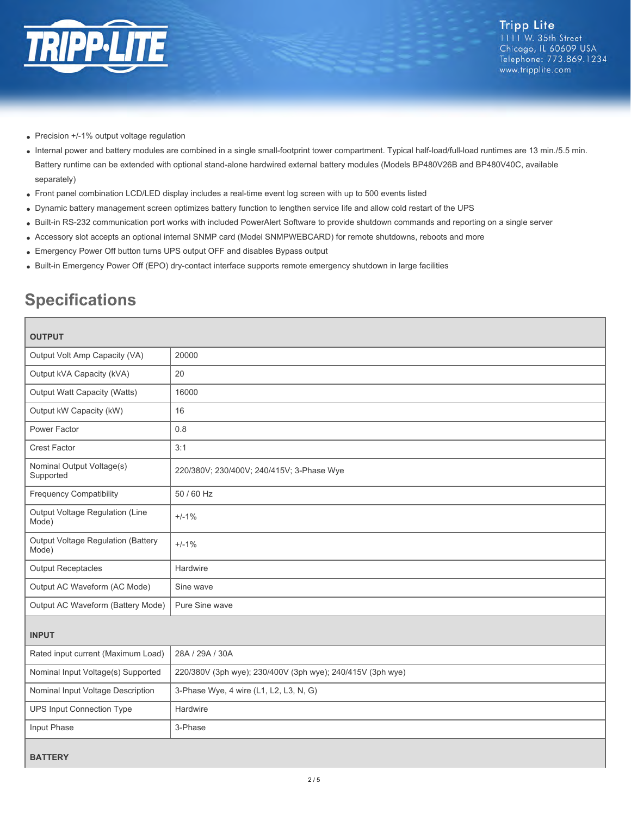

- Precision +/-1% output voltage regulation
- Internal power and battery modules are combined in a single small-footprint tower compartment. Typical half-load/full-load runtimes are 13 min./5.5 min. Battery runtime can be extended with optional stand-alone hardwired external battery modules (Models BP480V26B and BP480V40C, available separately)
- Front panel combination LCD/LED display includes a real-time event log screen with up to 500 events listed
- Dynamic battery management screen optimizes battery function to lengthen service life and allow cold restart of the UPS
- Built-in RS-232 communication port works with included PowerAlert Software to provide shutdown commands and reporting on a single server
- Accessory slot accepts an optional internal SNMP card (Model SNMPWEBCARD) for remote shutdowns, reboots and more
- Emergency Power Off button turns UPS output OFF and disables Bypass output
- Built-in Emergency Power Off (EPO) dry-contact interface supports remote emergency shutdown in large facilities

# **Specifications**

| <b>OUTPUT</b>                               |                                                            |  |
|---------------------------------------------|------------------------------------------------------------|--|
| Output Volt Amp Capacity (VA)               | 20000                                                      |  |
| Output kVA Capacity (kVA)                   | 20                                                         |  |
| Output Watt Capacity (Watts)                | 16000                                                      |  |
| Output kW Capacity (kW)                     | 16                                                         |  |
| Power Factor                                | 0.8                                                        |  |
| <b>Crest Factor</b>                         | 3:1                                                        |  |
| Nominal Output Voltage(s)<br>Supported      | 220/380V; 230/400V; 240/415V; 3-Phase Wye                  |  |
| <b>Frequency Compatibility</b>              | 50 / 60 Hz                                                 |  |
| Output Voltage Regulation (Line<br>Mode)    | $+/-1%$                                                    |  |
| Output Voltage Regulation (Battery<br>Mode) | $+/-1%$                                                    |  |
| <b>Output Receptacles</b>                   | Hardwire                                                   |  |
| Output AC Waveform (AC Mode)                | Sine wave                                                  |  |
| Output AC Waveform (Battery Mode)           | Pure Sine wave                                             |  |
| <b>INPUT</b>                                |                                                            |  |
| Rated input current (Maximum Load)          | 28A / 29A / 30A                                            |  |
| Nominal Input Voltage(s) Supported          | 220/380V (3ph wye); 230/400V (3ph wye); 240/415V (3ph wye) |  |
| Nominal Input Voltage Description           | 3-Phase Wye, 4 wire (L1, L2, L3, N, G)                     |  |
| <b>UPS Input Connection Type</b>            | Hardwire                                                   |  |
| Input Phase                                 | 3-Phase                                                    |  |
| <b>BATTERY</b>                              |                                                            |  |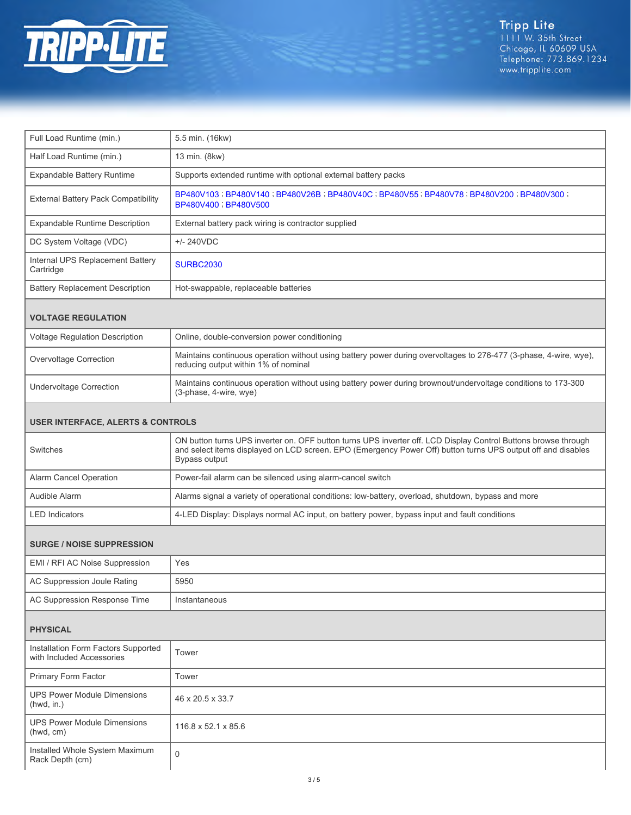

| Full Load Runtime (min.)                                         | 5.5 min. (16kw)                                                                                                                                                                                                                                 |  |
|------------------------------------------------------------------|-------------------------------------------------------------------------------------------------------------------------------------------------------------------------------------------------------------------------------------------------|--|
| Half Load Runtime (min.)                                         | 13 min. (8kw)                                                                                                                                                                                                                                   |  |
| Expandable Battery Runtime                                       | Supports extended runtime with optional external battery packs                                                                                                                                                                                  |  |
| External Battery Pack Compatibility                              | BP480V103; BP480V140; BP480V26B; BP480V40C; BP480V55; BP480V78; BP480V200; BP480V300;<br>BP480V400 ; BP480V500                                                                                                                                  |  |
| <b>Expandable Runtime Description</b>                            | External battery pack wiring is contractor supplied                                                                                                                                                                                             |  |
| DC System Voltage (VDC)                                          | $+/- 240VDC$                                                                                                                                                                                                                                    |  |
| Internal UPS Replacement Battery<br>Cartridge                    | <b>SURBC2030</b>                                                                                                                                                                                                                                |  |
| <b>Battery Replacement Description</b>                           | Hot-swappable, replaceable batteries                                                                                                                                                                                                            |  |
| <b>VOLTAGE REGULATION</b>                                        |                                                                                                                                                                                                                                                 |  |
| Voltage Regulation Description                                   | Online, double-conversion power conditioning                                                                                                                                                                                                    |  |
| Overvoltage Correction                                           | Maintains continuous operation without using battery power during overvoltages to 276-477 (3-phase, 4-wire, wye),<br>reducing output within 1% of nominal                                                                                       |  |
| <b>Undervoltage Correction</b>                                   | Maintains continuous operation without using battery power during brownout/undervoltage conditions to 173-300<br>(3-phase, 4-wire, wye)                                                                                                         |  |
| <b>USER INTERFACE, ALERTS &amp; CONTROLS</b>                     |                                                                                                                                                                                                                                                 |  |
| Switches                                                         | ON button turns UPS inverter on. OFF button turns UPS inverter off. LCD Display Control Buttons browse through<br>and select items displayed on LCD screen. EPO (Emergency Power Off) button turns UPS output off and disables<br>Bypass output |  |
| Alarm Cancel Operation                                           | Power-fail alarm can be silenced using alarm-cancel switch                                                                                                                                                                                      |  |
| Audible Alarm                                                    | Alarms signal a variety of operational conditions: low-battery, overload, shutdown, bypass and more                                                                                                                                             |  |
| <b>LED Indicators</b>                                            | 4-LED Display: Displays normal AC input, on battery power, bypass input and fault conditions                                                                                                                                                    |  |
| <b>SURGE / NOISE SUPPRESSION</b>                                 |                                                                                                                                                                                                                                                 |  |
| EMI / RFI AC Noise Suppression                                   | Yes                                                                                                                                                                                                                                             |  |
| AC Suppression Joule Rating                                      | 5950                                                                                                                                                                                                                                            |  |
| AC Suppression Response Time                                     | Instantaneous                                                                                                                                                                                                                                   |  |
| <b>PHYSICAL</b>                                                  |                                                                                                                                                                                                                                                 |  |
| Installation Form Factors Supported<br>with Included Accessories | Tower                                                                                                                                                                                                                                           |  |
| Primary Form Factor                                              | Tower                                                                                                                                                                                                                                           |  |
| <b>UPS Power Module Dimensions</b><br>(hwd, in.)                 | 46 x 20.5 x 33.7                                                                                                                                                                                                                                |  |
| LIDS Dower Medule Dimensions                                     |                                                                                                                                                                                                                                                 |  |

| UPS Power Module Dimensions<br>(hwd, cm)          | 116.8 x 52.1 x 85.6 |
|---------------------------------------------------|---------------------|
| Installed Whole System Maximum<br>Rack Depth (cm) |                     |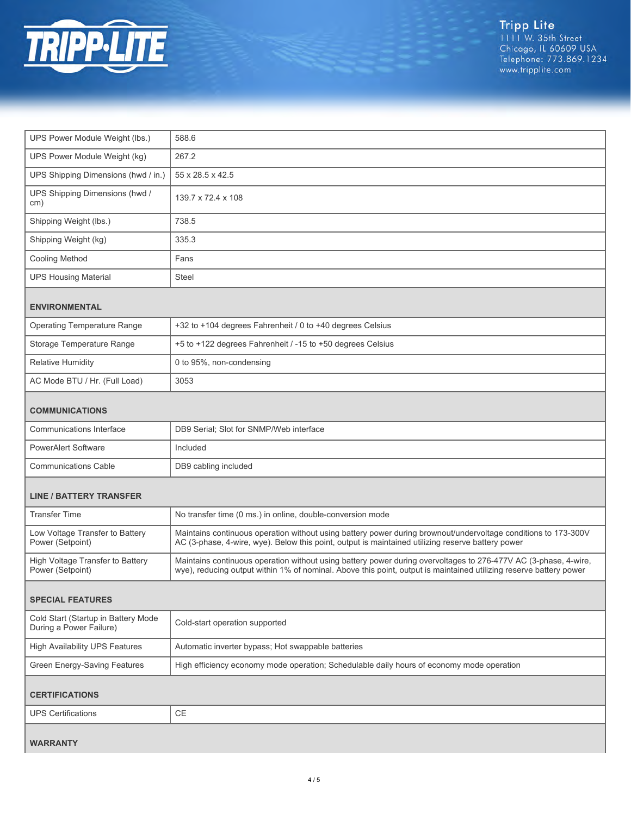

| UPS Power Module Weight (lbs.)                                 | 588.6                                                                                                                                                                                                                                 |  |
|----------------------------------------------------------------|---------------------------------------------------------------------------------------------------------------------------------------------------------------------------------------------------------------------------------------|--|
| UPS Power Module Weight (kg)                                   | 267.2                                                                                                                                                                                                                                 |  |
| UPS Shipping Dimensions (hwd / in.)                            | 55 x 28.5 x 42.5                                                                                                                                                                                                                      |  |
| UPS Shipping Dimensions (hwd /<br>cm)                          | 139.7 x 72.4 x 108                                                                                                                                                                                                                    |  |
| Shipping Weight (lbs.)                                         | 738.5                                                                                                                                                                                                                                 |  |
| Shipping Weight (kg)                                           | 335.3                                                                                                                                                                                                                                 |  |
| Cooling Method                                                 | Fans                                                                                                                                                                                                                                  |  |
| <b>UPS Housing Material</b>                                    | <b>Steel</b>                                                                                                                                                                                                                          |  |
| <b>ENVIRONMENTAL</b>                                           |                                                                                                                                                                                                                                       |  |
| <b>Operating Temperature Range</b>                             | +32 to +104 degrees Fahrenheit / 0 to +40 degrees Celsius                                                                                                                                                                             |  |
| Storage Temperature Range                                      | +5 to +122 degrees Fahrenheit / -15 to +50 degrees Celsius                                                                                                                                                                            |  |
| <b>Relative Humidity</b>                                       | 0 to 95%, non-condensing                                                                                                                                                                                                              |  |
| AC Mode BTU / Hr. (Full Load)                                  | 3053                                                                                                                                                                                                                                  |  |
| <b>COMMUNICATIONS</b>                                          |                                                                                                                                                                                                                                       |  |
| Communications Interface                                       | DB9 Serial; Slot for SNMP/Web interface                                                                                                                                                                                               |  |
| <b>PowerAlert Software</b>                                     | Included                                                                                                                                                                                                                              |  |
| <b>Communications Cable</b>                                    | DB9 cabling included                                                                                                                                                                                                                  |  |
| <b>LINE / BATTERY TRANSFER</b>                                 |                                                                                                                                                                                                                                       |  |
| <b>Transfer Time</b>                                           | No transfer time (0 ms.) in online, double-conversion mode                                                                                                                                                                            |  |
| Low Voltage Transfer to Battery<br>Power (Setpoint)            | Maintains continuous operation without using battery power during brownout/undervoltage conditions to 173-300V<br>AC (3-phase, 4-wire, wye). Below this point, output is maintained utilizing reserve battery power                   |  |
| High Voltage Transfer to Battery<br>Power (Setpoint)           | Maintains continuous operation without using battery power during overvoltages to 276-477V AC (3-phase, 4-wire,<br>wye), reducing output within 1% of nominal. Above this point, output is maintained utilizing reserve battery power |  |
| <b>SPECIAL FEATURES</b>                                        |                                                                                                                                                                                                                                       |  |
| Cold Start (Startup in Battery Mode<br>During a Power Failure) | Cold-start operation supported                                                                                                                                                                                                        |  |
| <b>High Availability UPS Features</b>                          | Automatic inverter bypass; Hot swappable batteries                                                                                                                                                                                    |  |
| Green Energy-Saving Features                                   | High efficiency economy mode operation; Schedulable daily hours of economy mode operation                                                                                                                                             |  |
| <b>CERTIFICATIONS</b>                                          |                                                                                                                                                                                                                                       |  |
| <b>UPS Certifications</b>                                      | CE                                                                                                                                                                                                                                    |  |
| <b>WARRANTY</b>                                                |                                                                                                                                                                                                                                       |  |